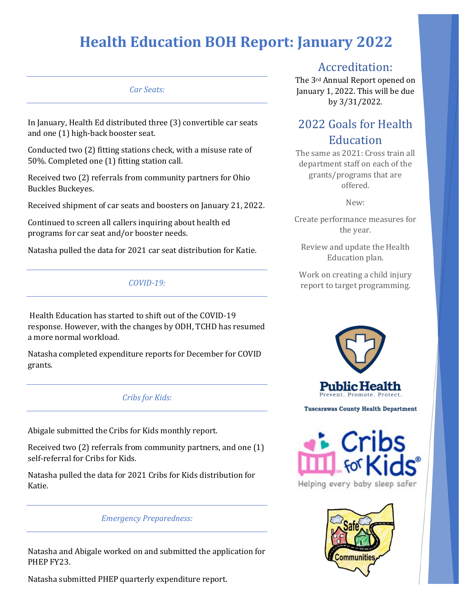### *Car Seats:*

In January, Health Ed distributed three (3) convertible car seats and one (1) high-back booster seat.

Conducted two (2) fitting stations check, with a misuse rate of 50%. Completed one (1) fitting station call.

Received two (2) referrals from community partners for Ohio Buckles Buckeyes.

Received shipment of car seats and boosters on January 21, 2022.

Continued to screen all callers inquiring about health ed programs for car seat and/or booster needs.

Natasha pulled the data for 2021 car seat distribution for Katie.

### *COVID-19:*

Health Education has started to shift out of the COVID-19 response. However, with the changes by ODH, TCHD has resumed a more normal workload.

Natasha completed expenditure reports for December for COVID grants.

### *Cribs for Kids:*

Abigale submitted the Cribs for Kids monthly report.

Received two (2) referrals from community partners, and one (1) self-referral for Cribs for Kids.

Natasha pulled the data for 2021 Cribs for Kids distribution for Katie.

### *Emergency Preparedness:*

Natasha and Abigale worked on and submitted the application for PHEP FY23.

Natasha submitted PHEP quarterly expenditure report.

### Accreditation:

The 3rd Annual Report opened on January 1, 2022. This will be due by 3/31/2022.

## 2022 Goals for Health Education

The same as 2021: Cross train all department staff on each of the grants/programs that are offered.

New:

Create performance measures for the year.

Review and update the Health Education plan.

Work on creating a child injury report to target programming.



**Tuscarawas County Health Department** 



Helping every baby sleep safer

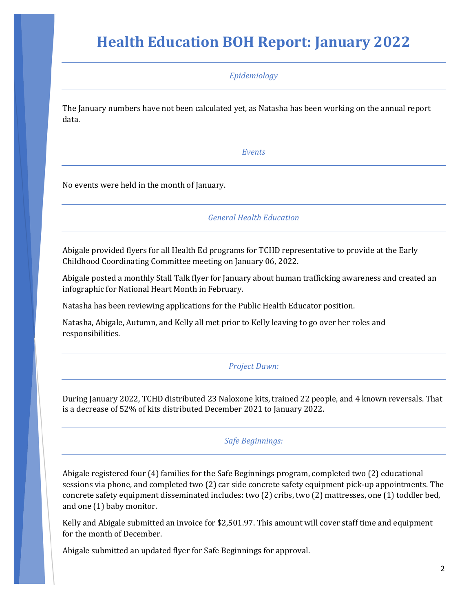*Epidemiology*

The January numbers have not been calculated yet, as Natasha has been working on the annual report data.

*Events*

No events were held in the month of January.

*General Health Education*

Abigale provided flyers for all Health Ed programs for TCHD representative to provide at the Early Childhood Coordinating Committee meeting on January 06, 2022.

Abigale posted a monthly Stall Talk flyer for January about human trafficking awareness and created an infographic for National Heart Month in February.

Natasha has been reviewing applications for the Public Health Educator position.

Natasha, Abigale, Autumn, and Kelly all met prior to Kelly leaving to go over her roles and responsibilities.

### *Project Dawn:*

During January 2022, TCHD distributed 23 Naloxone kits, trained 22 people, and 4 known reversals. That is a decrease of 52% of kits distributed December 2021 to January 2022.

#### *Safe Beginnings:*

Abigale registered four (4) families for the Safe Beginnings program, completed two (2) educational sessions via phone, and completed two (2) car side concrete safety equipment pick-up appointments. The concrete safety equipment disseminated includes: two (2) cribs, two (2) mattresses, one (1) toddler bed, and one (1) baby monitor.

Kelly and Abigale submitted an invoice for \$2,501.97. This amount will cover staff time and equipment for the month of December.

Abigale submitted an updated flyer for Safe Beginnings for approval.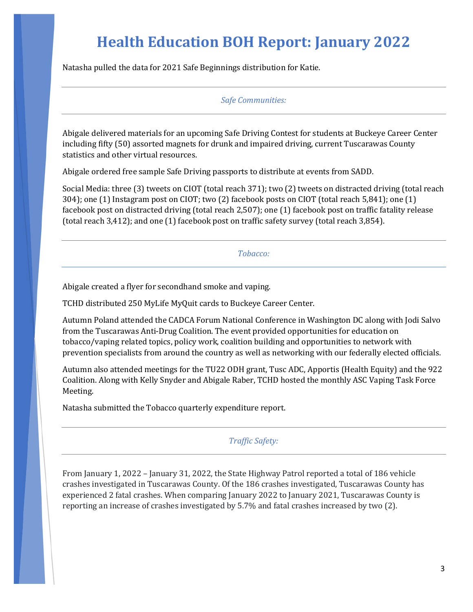Natasha pulled the data for 2021 Safe Beginnings distribution for Katie.

*Safe Communities:* 

Abigale delivered materials for an upcoming Safe Driving Contest for students at Buckeye Career Center including fifty (50) assorted magnets for drunk and impaired driving, current Tuscarawas County statistics and other virtual resources.

Abigale ordered free sample Safe Driving passports to distribute at events from SADD.

Social Media: three (3) tweets on CIOT (total reach 371); two (2) tweets on distracted driving (total reach 304); one (1) Instagram post on CIOT; two (2) facebook posts on CIOT (total reach 5,841); one (1) facebook post on distracted driving (total reach 2,507); one (1) facebook post on traffic fatality release (total reach 3,412); and one (1) facebook post on traffic safety survey (total reach 3,854).

*Tobacco:*

Abigale created a flyer for secondhand smoke and vaping.

TCHD distributed 250 MyLife MyQuit cards to Buckeye Career Center.

Autumn Poland attended the CADCA Forum National Conference in Washington DC along with Jodi Salvo from the Tuscarawas Anti-Drug Coalition. The event provided opportunities for education on tobacco/vaping related topics, policy work, coalition building and opportunities to network with prevention specialists from around the country as well as networking with our federally elected officials.

Autumn also attended meetings for the TU22 ODH grant, Tusc ADC, Apportis (Health Equity) and the 922 Coalition. Along with Kelly Snyder and Abigale Raber, TCHD hosted the monthly ASC Vaping Task Force Meeting.

Natasha submitted the Tobacco quarterly expenditure report.

*Traffic Safety:*

From January 1, 2022 – January 31, 2022, the State Highway Patrol reported a total of 186 vehicle crashes investigated in Tuscarawas County. Of the 186 crashes investigated, Tuscarawas County has experienced 2 fatal crashes. When comparing January 2022 to January 2021, Tuscarawas County is reporting an increase of crashes investigated by 5.7% and fatal crashes increased by two (2).